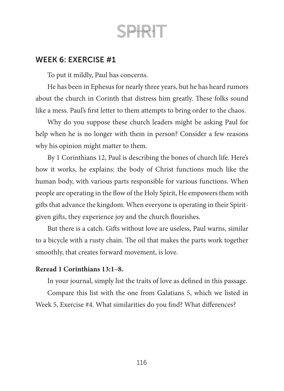### WEEK 6: EXERCISE #1

To put it mildly, Paul has concerns.

He has been in Ephesus for nearly three years, but he has heard rumors about the church in Corinth that distress him greatly. These folks sound like a mess. Paul's first letter to them attempts to bring order to the chaos.

Why do you suppose these church leaders might be asking Paul for help when he is no longer with them in person? Consider a few reasons why his opinion might matter to them.

By 1 Corinthians 12, Paul is describing the bones of church life. Here's how it works, he explains: the body of Christ functions much like the human body, with various parts responsible for various functions. When people are operating in the flow of the Holy Spirit, He empowers them with gifts that advance the kingdom. When everyone is operating in their Spiritgiven gifts, they experience joy and the church flourishes.

But there is a catch. Gifts without love are useless, Paul warns, similar to a bicycle with a rusty chain. The oil that makes the parts work together smoothly, that creates forward movement, is love.

#### **Reread 1 Corinthians 13:1–8.**

In your journal, simply list the traits of love as defined in this passage.

Compare this list with the one from Galatians 5, which we listed in Week 5, Exercise #4. What similarities do you find? What differences?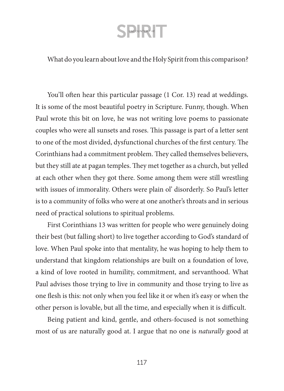### What do you learn about love and the Holy Spirit from this comparison?

You'll often hear this particular passage (1 Cor. 13) read at weddings. It is some of the most beautiful poetry in Scripture. Funny, though. When Paul wrote this bit on love, he was not writing love poems to passionate couples who were all sunsets and roses. This passage is part of a letter sent to one of the most divided, dysfunctional churches of the first century. The Corinthians had a commitment problem. They called themselves believers, but they still ate at pagan temples. They met together as a church, but yelled at each other when they got there. Some among them were still wrestling with issues of immorality. Others were plain ol' disorderly. So Paul's letter is to a community of folks who were at one another's throats and in serious need of practical solutions to spiritual problems.

First Corinthians 13 was written for people who were genuinely doing their best (but falling short) to live together according to God's standard of love. When Paul spoke into that mentality, he was hoping to help them to understand that kingdom relationships are built on a foundation of love, a kind of love rooted in humility, commitment, and servanthood. What Paul advises those trying to live in community and those trying to live as one flesh is this: not only when you feel like it or when it's easy or when the other person is lovable, but all the time, and especially when it is difficult.

Being patient and kind, gentle, and others-focused is not something most of us are naturally good at. I argue that no one is *naturally* good at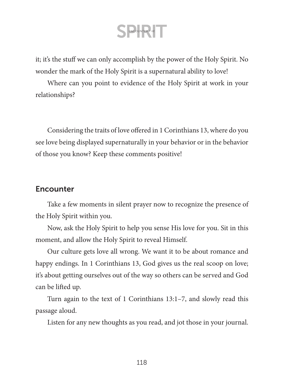it; it's the stuff we can only accomplish by the power of the Holy Spirit. No wonder the mark of the Holy Spirit is a supernatural ability to love!

Where can you point to evidence of the Holy Spirit at work in your relationships?

Considering the traits of love offered in 1 Corinthians 13, where do you see love being displayed supernaturally in your behavior or in the behavior of those you know? Keep these comments positive!

### **Encounter**

Take a few moments in silent prayer now to recognize the presence of the Holy Spirit within you.

Now, ask the Holy Spirit to help you sense His love for you. Sit in this moment, and allow the Holy Spirit to reveal Himself.

Our culture gets love all wrong. We want it to be about romance and happy endings. In 1 Corinthians 13, God gives us the real scoop on love; it's about getting ourselves out of the way so others can be served and God can be lifted up.

Turn again to the text of 1 Corinthians 13:1–7, and slowly read this passage aloud.

Listen for any new thoughts as you read, and jot those in your journal.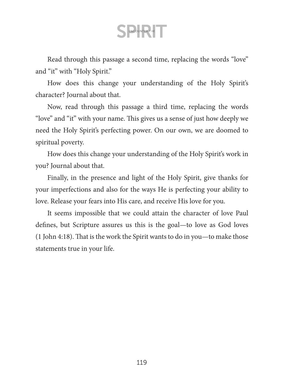Read through this passage a second time, replacing the words "love" and "it" with "Holy Spirit."

How does this change your understanding of the Holy Spirit's character? Journal about that.

Now, read through this passage a third time, replacing the words "love" and "it" with your name. This gives us a sense of just how deeply we need the Holy Spirit's perfecting power. On our own, we are doomed to spiritual poverty.

How does this change your understanding of the Holy Spirit's work in you? Journal about that.

Finally, in the presence and light of the Holy Spirit, give thanks for your imperfections and also for the ways He is perfecting your ability to love. Release your fears into His care, and receive His love for you.

It seems impossible that we could attain the character of love Paul defines, but Scripture assures us this is the goal—to love as God loves (1 John 4:18). That is the work the Spirit wants to do in you—to make those statements true in your life.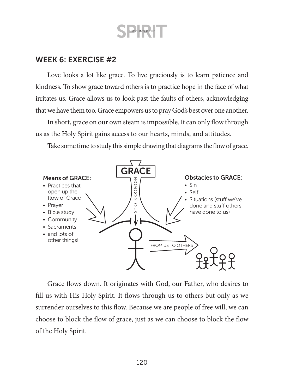### WEEK 6: EXERCISE #2

Love looks a lot like grace. To live graciously is to learn patience and kindness. To show grace toward others is to practice hope in the face of what irritates us. Grace allows us to look past the faults of others, acknowledging that we have them too. Grace empowers us to pray God's best over one another.

In short, grace on our own steam is impossible. It can only flow through us as the Holy Spirit gains access to our hearts, minds, and attitudes.

Take some time to study this simple drawing that diagrams the flow of grace.



Grace flows down. It originates with God, our Father, who desires to fill us with His Holy Spirit. It flows through us to others but only as we surrender ourselves to this flow. Because we are people of free will, we can choose to block the flow of grace, just as we can choose to block the flow of the Holy Spirit.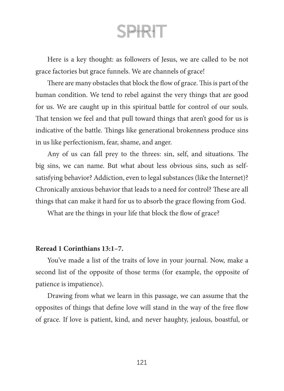Here is a key thought: as followers of Jesus, we are called to be not grace factories but grace funnels. We are channels of grace!

There are many obstacles that block the flow of grace. This is part of the human condition. We tend to rebel against the very things that are good for us. We are caught up in this spiritual battle for control of our souls. That tension we feel and that pull toward things that aren't good for us is indicative of the battle. Things like generational brokenness produce sins in us like perfectionism, fear, shame, and anger.

Any of us can fall prey to the threes: sin, self, and situations. The big sins, we can name. But what about less obvious sins, such as selfsatisfying behavior? Addiction, even to legal substances (like the Internet)? Chronically anxious behavior that leads to a need for control? These are all things that can make it hard for us to absorb the grace flowing from God.

What are the things in your life that block the flow of grace?

#### **Reread 1 Corinthians 13:1–7.**

You've made a list of the traits of love in your journal. Now, make a second list of the opposite of those terms (for example, the opposite of patience is impatience).

Drawing from what we learn in this passage, we can assume that the opposites of things that define love will stand in the way of the free flow of grace. If love is patient, kind, and never haughty, jealous, boastful, or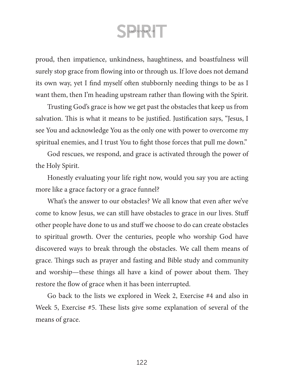proud, then impatience, unkindness, haughtiness, and boastfulness will surely stop grace from flowing into or through us. If love does not demand its own way, yet I find myself often stubbornly needing things to be as I want them, then I'm heading upstream rather than flowing with the Spirit.

Trusting God's grace is how we get past the obstacles that keep us from salvation. This is what it means to be justified. Justification says, "Jesus, I see You and acknowledge You as the only one with power to overcome my spiritual enemies, and I trust You to fight those forces that pull me down."

God rescues, we respond, and grace is activated through the power of the Holy Spirit.

Honestly evaluating your life right now, would you say you are acting more like a grace factory or a grace funnel?

What's the answer to our obstacles? We all know that even after we've come to know Jesus, we can still have obstacles to grace in our lives. Stuff other people have done to us and stuff we choose to do can create obstacles to spiritual growth. Over the centuries, people who worship God have discovered ways to break through the obstacles. We call them means of grace. Things such as prayer and fasting and Bible study and community and worship—these things all have a kind of power about them. They restore the flow of grace when it has been interrupted.

Go back to the lists we explored in Week 2, Exercise #4 and also in Week 5, Exercise #5. These lists give some explanation of several of the means of grace.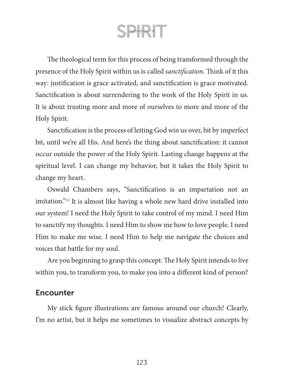The theological term for this process of being transformed through the presence of the Holy Spirit within us is called *sanctification*. Think of it this way: justification is grace activated, and sanctification is grace motivated. Sanctification is about surrendering to the work of the Holy Spirit in us. It is about trusting more and more of ourselves to more and more of the Holy Spirit.

Sanctification is the process of letting God win us over, bit by imperfect bit, until we're all His. And here's the thing about sanctification: it cannot occur outside the power of the Holy Spirit. Lasting change happens at the spiritual level. I can change my behavior, but it takes the Holy Spirit to change my heart.

Oswald Chambers says, "Sanctification is an impartation not an imitation."13 It is almost like having a whole new hard drive installed into our system! I need the Holy Spirit to take control of my mind. I need Him to sanctify my thoughts. I need Him to show me how to love people. I need Him to make me wise. I need Him to help me navigate the choices and voices that battle for my soul.

Are you beginning to grasp this concept: The Holy Spirit intends to live within you, to transform you, to make you into a different kind of person?

#### **Encounter**

My stick figure illustrations are famous around our church! Clearly, I'm no artist, but it helps me sometimes to visualize abstract concepts by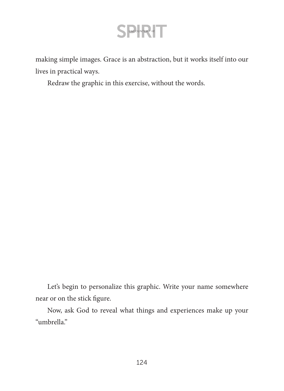making simple images. Grace is an abstraction, but it works itself into our lives in practical ways.

Redraw the graphic in this exercise, without the words.

Let's begin to personalize this graphic. Write your name somewhere near or on the stick figure.

Now, ask God to reveal what things and experiences make up your "umbrella."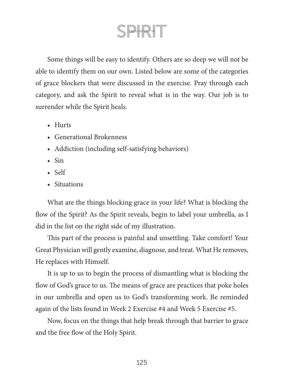Some things will be easy to identify. Others are so deep we will not be able to identify them on our own. Listed below are some of the categories of grace blockers that were discussed in the exercise. Pray through each category, and ask the Spirit to reveal what is in the way. Our job is to surrender while the Spirit heals.

- Hurts
- Generational Brokenness
- Addiction (including self-satisfying behaviors)
- Sin
- Self
- Situations

What are the things blocking grace in your life? What is blocking the flow of the Spirit? As the Spirit reveals, begin to label your umbrella, as I did in the list on the right side of my illustration.

This part of the process is painful and unsettling. Take comfort! Your Great Physician will gently examine, diagnose, and treat. What He removes, He replaces with Himself.

It is up to us to begin the process of dismantling what is blocking the flow of God's grace to us. The means of grace are practices that poke holes in our umbrella and open us to God's transforming work. Be reminded again of the lists found in Week 2 Exercise #4 and Week 5 Exercise #5.

Now, focus on the things that help break through that barrier to grace and the free flow of the Holy Spirit.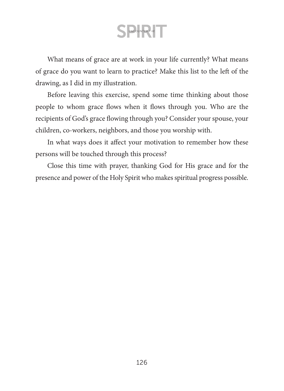What means of grace are at work in your life currently? What means of grace do you want to learn to practice? Make this list to the left of the drawing, as I did in my illustration.

Before leaving this exercise, spend some time thinking about those people to whom grace flows when it flows through you. Who are the recipients of God's grace flowing through you? Consider your spouse, your children, co-workers, neighbors, and those you worship with.

In what ways does it affect your motivation to remember how these persons will be touched through this process?

Close this time with prayer, thanking God for His grace and for the presence and power of the Holy Spirit who makes spiritual progress possible.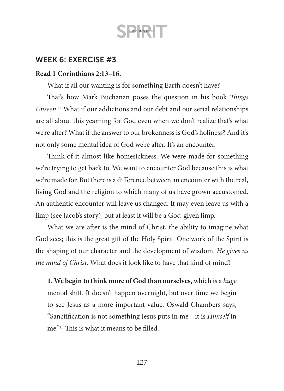

### WEEK 6: EXERCISE #3

#### **Read 1 Corinthians 2:13–16.**

What if all our wanting is for something Earth doesn't have?

That's how Mark Buchanan poses the question in his book *Things Unseen*. 14 What if our addictions and our debt and our serial relationships are all about this yearning for God even when we don't realize that's what we're after? What if the answer to our brokenness is God's holiness? And it's not only some mental idea of God we're after. It's an encounter.

Think of it almost like homesickness. We were made for something we're trying to get back to. We want to encounter God because this is what we're made for. But there is a difference between an encounter with the real, living God and the religion to which many of us have grown accustomed. An authentic encounter will leave us changed. It may even leave us with a limp (see Jacob's story), but at least it will be a God-given limp.

What we are after is the mind of Christ, the ability to imagine what God sees; this is the great gift of the Holy Spirit. One work of the Spirit is the shaping of our character and the development of wisdom. *He gives us the mind of Christ.* What does it look like to have that kind of mind?

**1. We begin to think more of God than ourselves,** which is a *huge* mental shift. It doesn't happen overnight, but over time we begin to see Jesus as a more important value. Oswald Chambers says, "Sanctification is not something Jesus puts in me—it is *Himself* in me."15 This is what it means to be filled.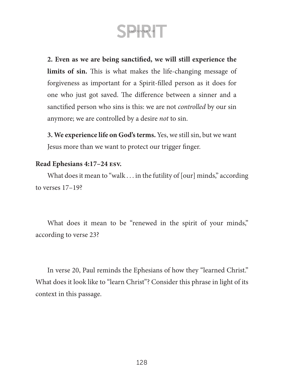

**2. Even as we are being sanctified, we will still experience the limits of sin.** This is what makes the life-changing message of forgiveness as important for a Spirit-filled person as it does for one who just got saved. The difference between a sinner and a sanctified person who sins is this: we are not *controlled* by our sin anymore; we are controlled by a desire *not* to sin.

**3. We experience life on God's terms.** Yes, we still sin, but we want Jesus more than we want to protect our trigger finger.

#### **Read Ephesians 4:17–24 esv.**

What does it mean to "walk . . . in the futility of [our] minds," according to verses 17–19?

What does it mean to be "renewed in the spirit of your minds," according to verse 23?

In verse 20, Paul reminds the Ephesians of how they "learned Christ." What does it look like to "learn Christ"? Consider this phrase in light of its context in this passage.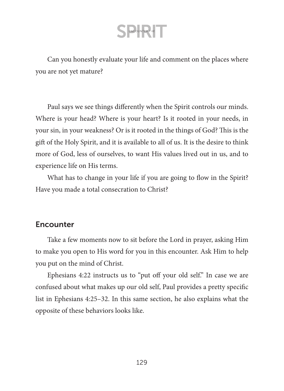Can you honestly evaluate your life and comment on the places where you are not yet mature?

Paul says we see things differently when the Spirit controls our minds. Where is your head? Where is your heart? Is it rooted in your needs, in your sin, in your weakness? Or is it rooted in the things of God? This is the gift of the Holy Spirit, and it is available to all of us. It is the desire to think more of God, less of ourselves, to want His values lived out in us, and to experience life on His terms.

What has to change in your life if you are going to flow in the Spirit? Have you made a total consecration to Christ?

### **Encounter**

Take a few moments now to sit before the Lord in prayer, asking Him to make you open to His word for you in this encounter. Ask Him to help you put on the mind of Christ.

Ephesians 4:22 instructs us to "put off your old self." In case we are confused about what makes up our old self, Paul provides a pretty specific list in Ephesians 4:25–32. In this same section, he also explains what the opposite of these behaviors looks like.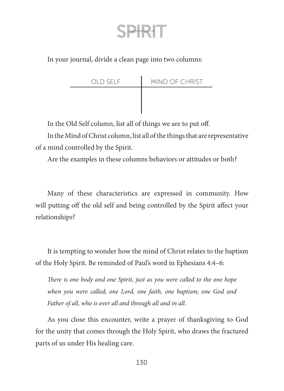In your journal, divide a clean page into two columns:

| OLD SELF | MIND OF CHRIST |
|----------|----------------|
|          |                |
|          |                |

In the Old Self column, list all of things we are to put off.

In the Mind of Christ column, list all of the things that are representative of a mind controlled by the Spirit.

Are the examples in these columns behaviors or attitudes or both?

Many of these characteristics are expressed in community. How will putting off the old self and being controlled by the Spirit affect your relationships?

It is tempting to wonder how the mind of Christ relates to the baptism of the Holy Spirit. Be reminded of Paul's word in Ephesians 4:4–6:

*There is one body and one Spirit, just as you were called to the one hope when you were called; one Lord, one faith, one baptism; one God and Father of all, who is over all and through all and in all.*

As you close this encounter, write a prayer of thanksgiving to God for the unity that comes through the Holy Spirit, who draws the fractured parts of us under His healing care.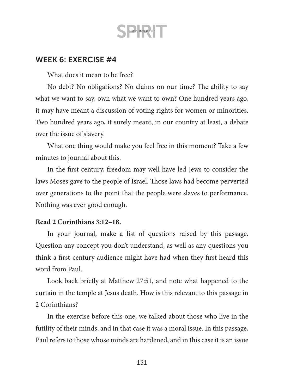### WEEK 6: EXERCISE #4

What does it mean to be free?

No debt? No obligations? No claims on our time? The ability to say what we want to say, own what we want to own? One hundred years ago, it may have meant a discussion of voting rights for women or minorities. Two hundred years ago, it surely meant, in our country at least, a debate over the issue of slavery.

What one thing would make you feel free in this moment? Take a few minutes to journal about this.

In the first century, freedom may well have led Jews to consider the laws Moses gave to the people of Israel. Those laws had become perverted over generations to the point that the people were slaves to performance. Nothing was ever good enough.

#### **Read 2 Corinthians 3:12–18.**

In your journal, make a list of questions raised by this passage. Question any concept you don't understand, as well as any questions you think a first-century audience might have had when they first heard this word from Paul.

Look back briefly at Matthew 27:51, and note what happened to the curtain in the temple at Jesus death. How is this relevant to this passage in 2 Corinthians?

In the exercise before this one, we talked about those who live in the futility of their minds, and in that case it was a moral issue. In this passage, Paul refers to those whose minds are hardened, and in this case it is an issue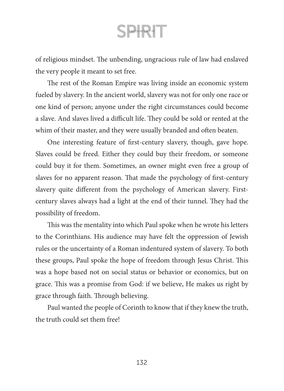of religious mindset. The unbending, ungracious rule of law had enslaved the very people it meant to set free.

The rest of the Roman Empire was living inside an economic system fueled by slavery. In the ancient world, slavery was not for only one race or one kind of person; anyone under the right circumstances could become a slave. And slaves lived a difficult life. They could be sold or rented at the whim of their master, and they were usually branded and often beaten.

One interesting feature of first-century slavery, though, gave hope. Slaves could be freed. Either they could buy their freedom, or someone could buy it for them. Sometimes, an owner might even free a group of slaves for no apparent reason. That made the psychology of first-century slavery quite different from the psychology of American slavery. Firstcentury slaves always had a light at the end of their tunnel. They had the possibility of freedom.

This was the mentality into which Paul spoke when he wrote his letters to the Corinthians. His audience may have felt the oppression of Jewish rules or the uncertainty of a Roman indentured system of slavery. To both these groups, Paul spoke the hope of freedom through Jesus Christ. This was a hope based not on social status or behavior or economics, but on grace. This was a promise from God: if we believe, He makes us right by grace through faith. Through believing.

Paul wanted the people of Corinth to know that if they knew the truth, the truth could set them free!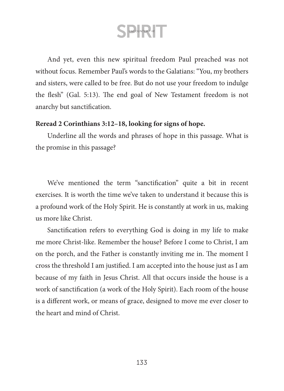And yet, even this new spiritual freedom Paul preached was not without focus. Remember Paul's words to the Galatians: "You, my brothers and sisters, were called to be free. But do not use your freedom to indulge the flesh" (Gal. 5:13). The end goal of New Testament freedom is not anarchy but sanctification.

#### **Reread 2 Corinthians 3:12–18, looking for signs of hope.**

Underline all the words and phrases of hope in this passage. What is the promise in this passage?

We've mentioned the term "sanctification" quite a bit in recent exercises. It is worth the time we've taken to understand it because this is a profound work of the Holy Spirit. He is constantly at work in us, making us more like Christ.

Sanctification refers to everything God is doing in my life to make me more Christ-like. Remember the house? Before I come to Christ, I am on the porch, and the Father is constantly inviting me in. The moment I cross the threshold I am justified. I am accepted into the house just as I am because of my faith in Jesus Christ. All that occurs inside the house is a work of sanctification (a work of the Holy Spirit). Each room of the house is a different work, or means of grace, designed to move me ever closer to the heart and mind of Christ.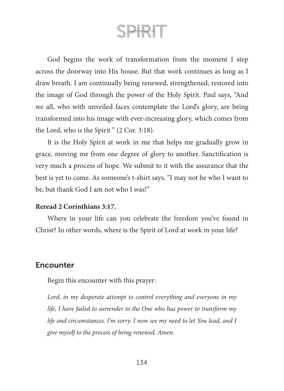God begins the work of transformation from the moment I step across the doorway into His house. But that work continues as long as I draw breath. I am continually being renewed, strengthened, restored into the image of God through the power of the Holy Spirit. Paul says, "And we all, who with unveiled faces contemplate the Lord's glory, are being transformed into his image with ever-increasing glory, which comes from the Lord, who is the Spirit " (2 Cor. 3:18).

It is the Holy Spirit at work in me that helps me gradually grow in grace, moving me from one degree of glory to another. Sanctification is very much a process of hope. We submit to it with the assurance that the best is yet to come. As someone's t-shirt says, "I may not be who I want to be, but thank God I am not who I was!"

#### **Reread 2 Corinthians 3:17.**

Where in your life can you celebrate the freedom you've found in Christ? In other words, where is the Spirit of Lord at work in your life?

### **Encounter**

Begin this encounter with this prayer:

*Lord, in my desperate attempt to control everything and everyone in my life, I have failed to surrender to the One who has power to transform my life and circumstances. I'm sorry. I now see my need to let You lead, and I give myself to the process of being renewed. Amen.*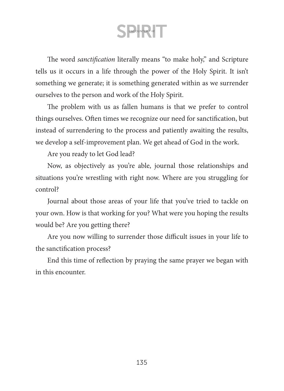The word *sanctification* literally means "to make holy," and Scripture tells us it occurs in a life through the power of the Holy Spirit. It isn't something we generate; it is something generated within as we surrender ourselves to the person and work of the Holy Spirit.

The problem with us as fallen humans is that we prefer to control things ourselves. Often times we recognize our need for sanctification, but instead of surrendering to the process and patiently awaiting the results, we develop a self-improvement plan. We get ahead of God in the work.

Are you ready to let God lead?

Now, as objectively as you're able, journal those relationships and situations you're wrestling with right now. Where are you struggling for control?

Journal about those areas of your life that you've tried to tackle on your own. How is that working for you? What were you hoping the results would be? Are you getting there?

Are you now willing to surrender those difficult issues in your life to the sanctification process?

End this time of reflection by praying the same prayer we began with in this encounter.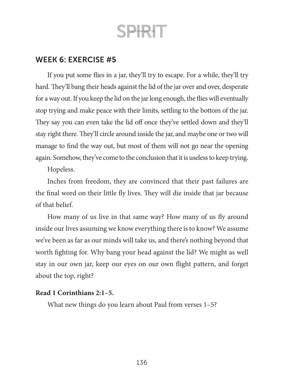### WEEK 6: EXERCISE #5

If you put some flies in a jar, they'll try to escape. For a while, they'll try hard. They'll bang their heads against the lid of the jar over and over, desperate for a way out. If you keep the lid on the jar long enough, the flies will eventually stop trying and make peace with their limits, settling to the bottom of the jar. They say you can even take the lid off once they've settled down and they'll stay right there. They'll circle around inside the jar, and maybe one or two will manage to find the way out, but most of them will not go near the opening again. Somehow, they've come to the conclusion that it is useless to keep trying.

Hopeless.

Inches from freedom, they are convinced that their past failures are the final word on their little fly lives. They will die inside that jar because of that belief.

How many of us live in that same way? How many of us fly around inside our lives assuming we know everything there is to know? We assume we've been as far as our minds will take us, and there's nothing beyond that worth fighting for. Why bang your head against the lid? We might as well stay in our own jar, keep our eyes on our own flight pattern, and forget about the top, right?

#### **Read 1 Corinthians 2:1–5.**

What new things do you learn about Paul from verses 1–5?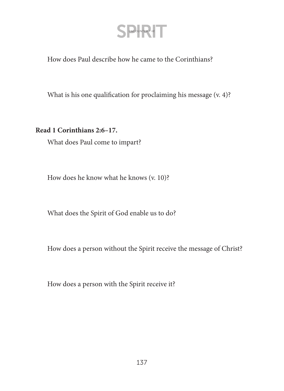How does Paul describe how he came to the Corinthians?

What is his one qualification for proclaiming his message (v. 4)?

**Read 1 Corinthians 2:6–17.**

What does Paul come to impart?

How does he know what he knows (v. 10)?

What does the Spirit of God enable us to do?

How does a person without the Spirit receive the message of Christ?

How does a person with the Spirit receive it?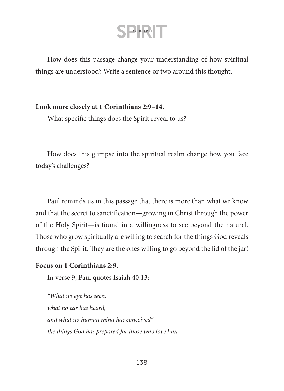How does this passage change your understanding of how spiritual things are understood? Write a sentence or two around this thought.

#### **Look more closely at 1 Corinthians 2:9–14.**

What specific things does the Spirit reveal to us?

How does this glimpse into the spiritual realm change how you face today's challenges?

Paul reminds us in this passage that there is more than what we know and that the secret to sanctification—growing in Christ through the power of the Holy Spirit—is found in a willingness to see beyond the natural. Those who grow spiritually are willing to search for the things God reveals through the Spirit. They are the ones willing to go beyond the lid of the jar!

#### **Focus on 1 Corinthians 2:9.**

In verse 9, Paul quotes Isaiah 40:13:

*"What no eye has seen, what no ear has heard, and what no human mind has conceived" the things God has prepared for those who love him—*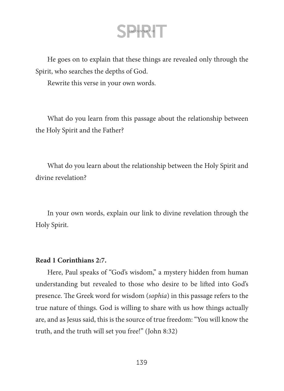He goes on to explain that these things are revealed only through the Spirit, who searches the depths of God.

Rewrite this verse in your own words.

What do you learn from this passage about the relationship between the Holy Spirit and the Father?

What do you learn about the relationship between the Holy Spirit and divine revelation?

In your own words, explain our link to divine revelation through the Holy Spirit.

#### **Read 1 Corinthians 2:7.**

Here, Paul speaks of "God's wisdom," a mystery hidden from human understanding but revealed to those who desire to be lifted into God's presence. The Greek word for wisdom (*sophia*) in this passage refers to the true nature of things. God is willing to share with us how things actually are, and as Jesus said, this is the source of true freedom: "You will know the truth, and the truth will set you free!" (John 8:32)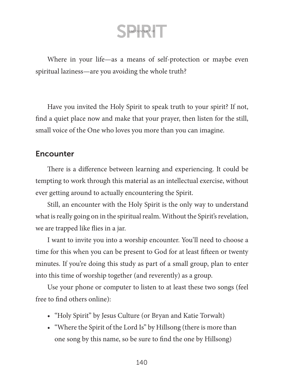Where in your life—as a means of self-protection or maybe even spiritual laziness—are you avoiding the whole truth?

Have you invited the Holy Spirit to speak truth to your spirit? If not, find a quiet place now and make that your prayer, then listen for the still, small voice of the One who loves you more than you can imagine.

### **Encounter**

There is a difference between learning and experiencing. It could be tempting to work through this material as an intellectual exercise, without ever getting around to actually encountering the Spirit.

Still, an encounter with the Holy Spirit is the only way to understand what is really going on in the spiritual realm. Without the Spirit's revelation, we are trapped like flies in a jar.

I want to invite you into a worship encounter. You'll need to choose a time for this when you can be present to God for at least fifteen or twenty minutes. If you're doing this study as part of a small group, plan to enter into this time of worship together (and reverently) as a group.

Use your phone or computer to listen to at least these two songs (feel free to find others online):

- "Holy Spirit" by Jesus Culture (or Bryan and Katie Torwalt)
- "Where the Spirit of the Lord Is" by Hillsong (there is more than one song by this name, so be sure to find the one by Hillsong)